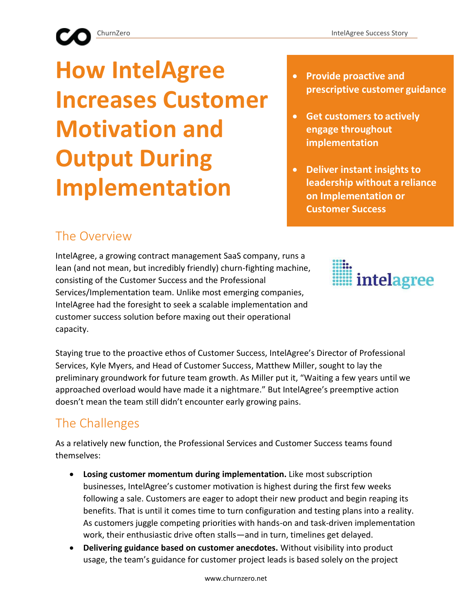# **How IntelAgree Increases Customer Motivation and Output During Implementation**

- **Provide proactive and prescriptive customer guidance**
- **Get customers to actively engage throughout implementation**
- **Deliver instant insights to leadership without a reliance on Implementation or Customer Success**

### The Overview

IntelAgree, a growing contract management SaaS company, runs a lean (and not mean, but incredibly friendly) churn-fighting machine, consisting of the Customer Success and the Professional Services/Implementation team. Unlike most emerging companies, IntelAgree had the foresight to seek a scalable implementation and customer success solution before maxing out their operational capacity.



Staying true to the proactive ethos of Customer Success, IntelAgree's Director of Professional Services, Kyle Myers, and Head of Customer Success, Matthew Miller, sought to lay the preliminary groundwork for future team growth. As Miller put it, "Waiting a few years until we approached overload would have made it a nightmare." But IntelAgree's preemptive action doesn't mean the team still didn't encounter early growing pains.

## The Challenges

As a relatively new function, the Professional Services and Customer Success teams found themselves:

- **Losing customer momentum during implementation.** Like most subscription businesses, IntelAgree's customer motivation is highest during the first few weeks following a sale. Customers are eager to adopt their new product and begin reaping its benefits. That is until it comes time to turn configuration and testing plans into a reality. As customers juggle competing priorities with hands-on and task-driven implementation work, their enthusiastic drive often stalls—and in turn, timelines get delayed.
- **Delivering guidance based on customer anecdotes.** Without visibility into product usage, the team's guidance for customer project leads is based solely on the project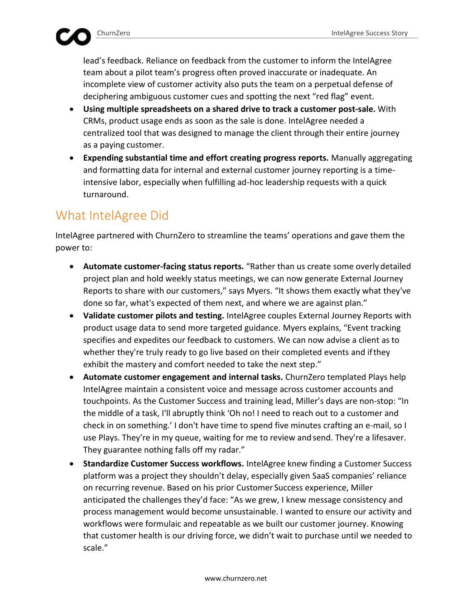lead's feedback. Reliance on feedback from the customer to inform the IntelAgree team about a pilot team's progress often proved inaccurate or inadequate. An incomplete view of customer activity also puts the team on a perpetual defense of deciphering ambiguous customer cues and spotting the next "red flag" event.

- **Using multiple spreadsheets on a shared drive to track a customer post-sale.** With CRMs, product usage ends as soon as the sale is done. IntelAgree needed a centralized tool that was designed to manage the client through their entire journey as a paying customer.
- **Expending substantial time and effort creating progress reports.** Manually aggregating and formatting data for internal and external customer journey reporting is a timeintensive labor, especially when fulfilling ad-hoc leadership requests with a quick turnaround.

#### What IntelAgree Did

IntelAgree partnered with ChurnZero to streamline the teams' operations and gave them the power to:

- **Automate customer-facing status reports.** "Rather than us create some overly detailed project plan and hold weekly status meetings, we can now generate External Journey Reports to share with our customers," says Myers. "It shows them exactly what they've done so far, what's expected of them next, and where we are against plan."
- **Validate customer pilots and testing.** IntelAgree couples External Journey Reports with product usage data to send more targeted guidance. Myers explains, "Event tracking specifies and expedites our feedback to customers. We can now advise a client as to whether they're truly ready to go live based on their completed events and ifthey exhibit the mastery and comfort needed to take the next step."
- **Automate customer engagement and internal tasks.** ChurnZero templated Plays help IntelAgree maintain a consistent voice and message across customer accounts and touchpoints. As the Customer Success and training lead, Miller's days are non-stop: "In the middle of a task, I'll abruptly think 'Oh no! I need to reach out to a customer and check in on something.' I don't have time to spend five minutes crafting an e-mail, so I use Plays. They're in my queue, waiting for me to review and send. They're a lifesaver. They guarantee nothing falls off my radar."
- **Standardize Customer Success workflows.** IntelAgree knew finding a Customer Success platform was a project they shouldn't delay, especially given SaaS companies' reliance on recurring revenue. Based on his prior Customer Success experience, Miller anticipated the challenges they'd face: "As we grew, I knew message consistency and process management would become unsustainable. I wanted to ensure our activity and workflows were formulaic and repeatable as we built our customer journey. Knowing that customer health is our driving force, we didn't wait to purchase until we needed to scale."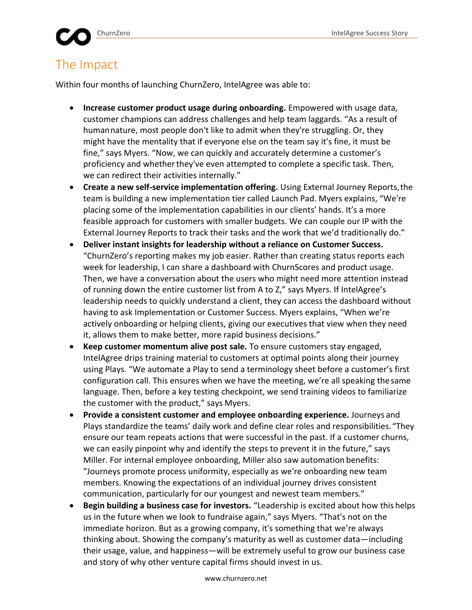#### The Impact

Within four months of launching ChurnZero, IntelAgree was able to:

- **Increase customer product usage during onboarding.** Empowered with usage data, customer champions can address challenges and help team laggards. "As a result of humannature, most people don't like to admit when they're struggling. Or, they might have the mentality that if everyone else on the team say it's fine, it must be fine," says Myers. "Now, we can quickly and accurately determine a customer's proficiency and whether they've even attempted to complete a specific task. Then, we can redirect their activities internally."
- **Create a new self-service implementation offering.** Using External Journey Reports,the team is building a new implementation tier called Launch Pad. Myers explains, "We're placing some of the implementation capabilities in our clients' hands. It's a more feasible approach for customers with smaller budgets. We can couple our IP with the External Journey Reports to track their tasks and the work that we'd traditionally do."
- **Deliver instant insights for leadership without a reliance on Customer Success.**  "ChurnZero's reporting makes my job easier. Rather than creating status reports each week for leadership, I can share a dashboard with ChurnScores and product usage. Then, we have a conversation about the users who might need more attention instead of running down the entire customer list from A to Z," says Myers. If IntelAgree's leadership needs to quickly understand a client, they can access the dashboard without having to ask Implementation or Customer Success. Myers explains, "When we're actively onboarding or helping clients, giving our executives that view when they need it, allows them to make better, more rapid business decisions."
- **Keep customer momentum alive post sale.** To ensure customers stay engaged, IntelAgree drips training material to customers at optimal points along their journey using Plays. "We automate a Play to send a terminology sheet before a customer's first configuration call. This ensures when we have the meeting, we're all speaking thesame language. Then, before a key testing checkpoint, we send training videos to familiarize the customer with the product," says Myers.
- **Provide a consistent customer and employee onboarding experience.** Journeys and Plays standardize the teams' daily work and define clear roles and responsibilities."They ensure our team repeats actions that were successful in the past. If a customer churns, we can easily pinpoint why and identify the steps to prevent it in the future," says Miller. For internal employee onboarding, Miller also saw automation benefits: "Journeys promote process uniformity, especially as we're onboarding new team members. Knowing the expectations of an individual journey drives consistent communication, particularly for our youngest and newest team members."
- **Begin building a business case for investors.** "Leadership is excited about how this helps us in the future when we look to fundraise again," says Myers. "That's not on the immediate horizon. But as a growing company, it's something that we're always thinking about. Showing the company's maturity as well as customer data—including their usage, value, and happiness—will be extremely useful to grow our business case and story of why other venture capital firms should invest in us.